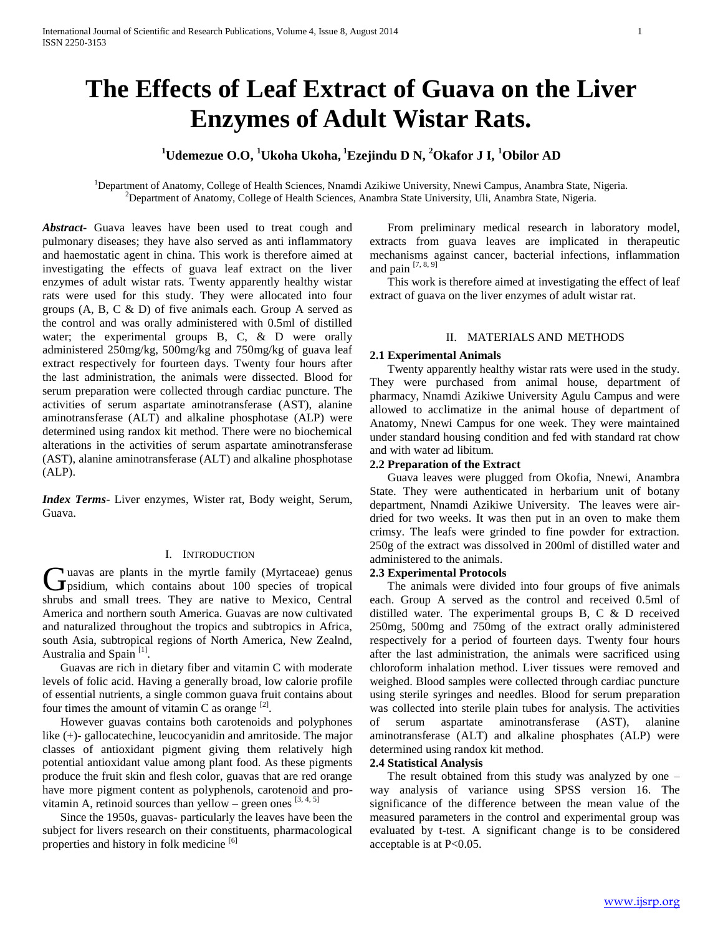# **The Effects of Leaf Extract of Guava on the Liver Enzymes of Adult Wistar Rats.**

## **<sup>1</sup>Udemezue O.O, <sup>1</sup>Ukoha Ukoha, <sup>1</sup>Ezejindu D N, <sup>2</sup>Okafor J I, <sup>1</sup>Obilor AD**

<sup>1</sup>Department of Anatomy, College of Health Sciences, Nnamdi Azikiwe University, Nnewi Campus, Anambra State, Nigeria. <sup>2</sup>Department of Anatomy, College of Health Sciences, Anambra State University, Uli, Anambra State, Nigeria.

*Abstract***-** Guava leaves have been used to treat cough and pulmonary diseases; they have also served as anti inflammatory and haemostatic agent in china. This work is therefore aimed at investigating the effects of guava leaf extract on the liver enzymes of adult wistar rats. Twenty apparently healthy wistar rats were used for this study. They were allocated into four groups (A, B, C & D) of five animals each. Group A served as the control and was orally administered with 0.5ml of distilled water; the experimental groups B, C, & D were orally administered 250mg/kg, 500mg/kg and 750mg/kg of guava leaf extract respectively for fourteen days. Twenty four hours after the last administration, the animals were dissected. Blood for serum preparation were collected through cardiac puncture. The activities of serum aspartate aminotransferase (AST), alanine aminotransferase (ALT) and alkaline phosphotase (ALP) were determined using randox kit method. There were no biochemical alterations in the activities of serum aspartate aminotransferase (AST), alanine aminotransferase (ALT) and alkaline phosphotase (ALP).

*Index Terms*- Liver enzymes, Wister rat, Body weight, Serum, Guava.

## I. INTRODUCTION

uavas are plants in the myrtle family (Myrtaceae) genus Guavas are plants in the myrtle family (Myrtaceae) genus<br>
psidium, which contains about 100 species of tropical shrubs and small trees. They are native to Mexico, Central America and northern south America. Guavas are now cultivated and naturalized throughout the tropics and subtropics in Africa, south Asia, subtropical regions of North America, New Zealnd, Australia and Spain<sup>[1]</sup>.

 Guavas are rich in dietary fiber and vitamin C with moderate levels of folic acid. Having a generally broad, low calorie profile of essential nutrients, a single common guava fruit contains about four times the amount of vitamin C as orange  $^{[2]}$ .

 However guavas contains both carotenoids and polyphones like (+)- gallocatechine, leucocyanidin and amritoside. The major classes of antioxidant pigment giving them relatively high potential antioxidant value among plant food. As these pigments produce the fruit skin and flesh color, guavas that are red orange have more pigment content as polyphenols, carotenoid and provitamin A, retinoid sources than yellow – green ones  $[3, 4, 5]$ 

 Since the 1950s, guavas- particularly the leaves have been the subject for livers research on their constituents, pharmacological properties and history in folk medicine [6]

 From preliminary medical research in laboratory model, extracts from guava leaves are implicated in therapeutic mechanisms against cancer, bacterial infections, inflammation and pain  $[7, 8, 9]$ 

 This work is therefore aimed at investigating the effect of leaf extract of guava on the liver enzymes of adult wistar rat.

## II. MATERIALS AND METHODS

## **2.1 Experimental Animals**

 Twenty apparently healthy wistar rats were used in the study. They were purchased from animal house, department of pharmacy, Nnamdi Azikiwe University Agulu Campus and were allowed to acclimatize in the animal house of department of Anatomy, Nnewi Campus for one week. They were maintained under standard housing condition and fed with standard rat chow and with water ad libitum.

#### **2.2 Preparation of the Extract**

 Guava leaves were plugged from Okofia, Nnewi, Anambra State. They were authenticated in herbarium unit of botany department, Nnamdi Azikiwe University. The leaves were airdried for two weeks. It was then put in an oven to make them crimsy. The leafs were grinded to fine powder for extraction. 250g of the extract was dissolved in 200ml of distilled water and administered to the animals.

## **2.3 Experimental Protocols**

 The animals were divided into four groups of five animals each. Group A served as the control and received 0.5ml of distilled water. The experimental groups B, C & D received 250mg, 500mg and 750mg of the extract orally administered respectively for a period of fourteen days. Twenty four hours after the last administration, the animals were sacrificed using chloroform inhalation method. Liver tissues were removed and weighed. Blood samples were collected through cardiac puncture using sterile syringes and needles. Blood for serum preparation was collected into sterile plain tubes for analysis. The activities of serum aspartate aminotransferase (AST), alanine aminotransferase (ALT) and alkaline phosphates (ALP) were determined using randox kit method.

## **2.4 Statistical Analysis**

 The result obtained from this study was analyzed by one – way analysis of variance using SPSS version 16. The significance of the difference between the mean value of the measured parameters in the control and experimental group was evaluated by t-test. A significant change is to be considered acceptable is at P<0.05.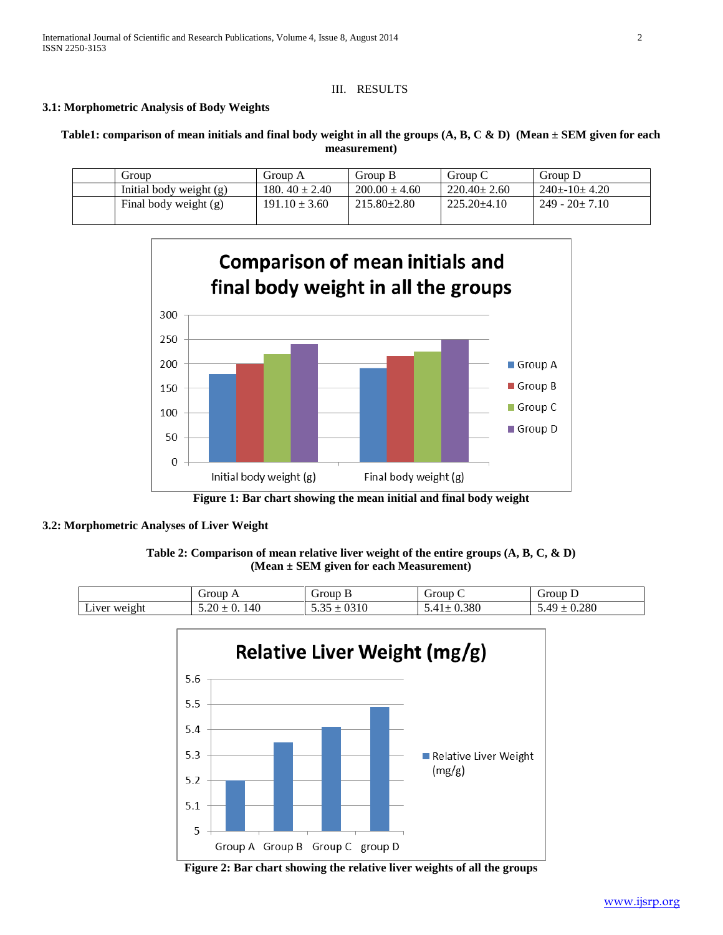## III. RESULTS

## **3.1: Morphometric Analysis of Body Weights**

**Table1: comparison of mean initials and final body weight in all the groups (A, B, C & D) (Mean ± SEM given for each measurement)**

| Group                   | Group A            | Group B           | Group C           | Group D             |
|-------------------------|--------------------|-------------------|-------------------|---------------------|
| Initial body weight (g) | 180. $40 \pm 2.40$ | $200.00 \pm 4.60$ | $220.40 \pm 2.60$ | $240+10+4.20$       |
| Final body weight (g)   | $191.10 \pm 3.60$  | $215.80 \pm 2.80$ | $225.20 \pm 4.10$ | $249 - 20 \pm 7.10$ |



**Figure 1: Bar chart showing the mean initial and final body weight**

## **3.2: Morphometric Analyses of Liver Weight**

| Table 2: Comparison of mean relative liver weight of the entire groups $(A, B, C, \& D)$ |  |
|------------------------------------------------------------------------------------------|--|
| (Mean $\pm$ SEM given for each Measurement)                                              |  |

|                            | irour<br>orvuv           | rour<br>----               | $\tilde{\phantom{a}}$<br>-<br>Group | orour        |
|----------------------------|--------------------------|----------------------------|-------------------------------------|--------------|
| $ -$<br>$LIVe^*$<br>weight | -<br>'46<br>л.<br>ິ<br>ີ | ∩^ 1 ∩<br>) 1 U<br>ັ້ນ ເມີ | 200<br>,,,80                        | 200<br>v.zov |



**Figure 2: Bar chart showing the relative liver weights of all the groups**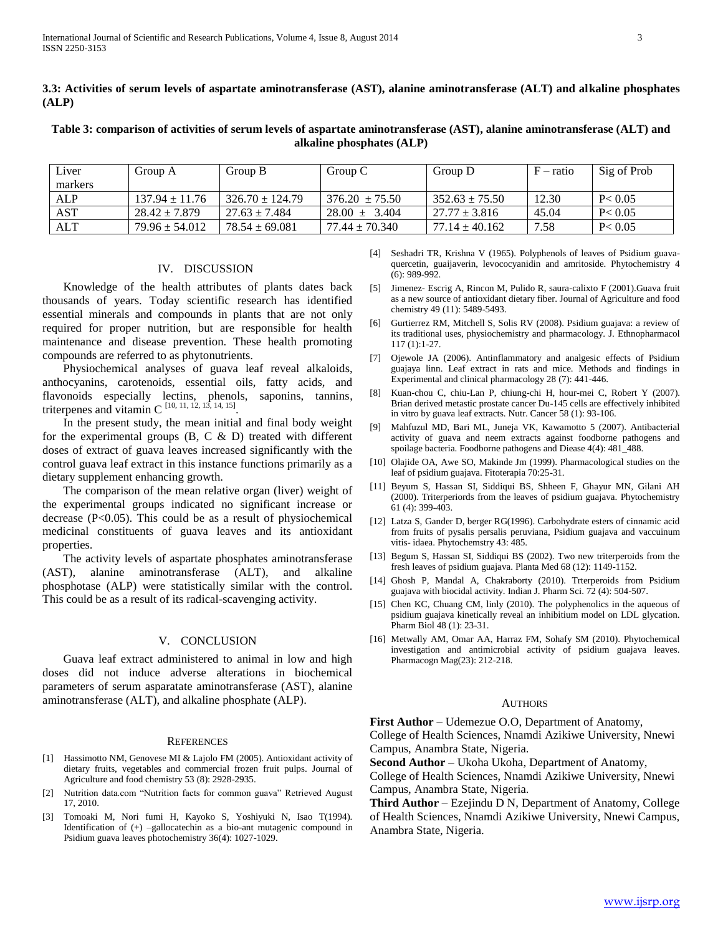**3.3: Activities of serum levels of aspartate aminotransferase (AST), alanine aminotransferase (ALT) and alkaline phosphates (ALP)**

**Table 3: comparison of activities of serum levels of aspartate aminotransferase (AST), alanine aminotransferase (ALT) and alkaline phosphates (ALP)**

| Liver   | Group A            | Group B             | Group C            | Group D            | $F$ – ratio | Sig of Prob |
|---------|--------------------|---------------------|--------------------|--------------------|-------------|-------------|
| markers |                    |                     |                    |                    |             |             |
| ALP     | $137.94 \pm 11.76$ | $326.70 \pm 124.79$ | $376.20 + 75.50$   | $352.63 + 75.50$   | 12.30       | P < 0.05    |
| AST     | $28.42 \pm 7.879$  | $27.63 + 7.484$     | $28.00 \pm 3.404$  | $27.77 \pm 3.816$  | 45.04       | P < 0.05    |
| ALT     | $79.96 \pm 54.012$ | $78.54 \pm 69.081$  | $77.44 \pm 70.340$ | $77.14 \pm 40.162$ | 7.58        | P < 0.05    |

## IV. DISCUSSION

 Knowledge of the health attributes of plants dates back thousands of years. Today scientific research has identified essential minerals and compounds in plants that are not only required for proper nutrition, but are responsible for health maintenance and disease prevention. These health promoting compounds are referred to as phytonutrients.

 Physiochemical analyses of guava leaf reveal alkaloids, anthocyanins, carotenoids, essential oils, fatty acids, and flavonoids especially lectins, phenols, saponins, tannins, triterpenes and vitamin C  $^{[10, 11, 12, 13, 14, 15]}$ .

 In the present study, the mean initial and final body weight for the experimental groups  $(B, C \& D)$  treated with different doses of extract of guava leaves increased significantly with the control guava leaf extract in this instance functions primarily as a dietary supplement enhancing growth.

 The comparison of the mean relative organ (liver) weight of the experimental groups indicated no significant increase or decrease  $(P<0.05)$ . This could be as a result of physiochemical medicinal constituents of guava leaves and its antioxidant properties.

 The activity levels of aspartate phosphates aminotransferase (AST), alanine aminotransferase (ALT), and alkaline phosphotase (ALP) were statistically similar with the control. This could be as a result of its radical-scavenging activity.

#### V. CONCLUSION

 Guava leaf extract administered to animal in low and high doses did not induce adverse alterations in biochemical parameters of serum asparatate aminotransferase (AST), alanine aminotransferase (ALT), and alkaline phosphate (ALP).

#### **REFERENCES**

- [1] Hassimotto NM, Genovese MI & Lajolo FM (2005). Antioxidant activity of dietary fruits, vegetables and commercial frozen fruit pulps. Journal of Agriculture and food chemistry 53 (8): 2928-2935.
- [2] Nutrition data.com "Nutrition facts for common guava" Retrieved August 17, 2010.
- [3] Tomoaki M, Nori fumi H, Kayoko S, Yoshiyuki N, Isao T(1994). Identification of (+) –gallocatechin as a bio-ant mutagenic compound in Psidium guava leaves photochemistry 36(4): 1027-1029.
- [4] Seshadri TR, Krishna V (1965). Polyphenols of leaves of Psidium guavaquercetin, guaijaverin, levococyanidin and amritoside. Phytochemistry 4 (6): 989-992.
- [5] Jimenez- Escrig A, Rincon M, Pulido R, saura-calixto F (2001).Guava fruit as a new source of antioxidant dietary fiber. Journal of Agriculture and food chemistry 49 (11): 5489-5493.
- [6] Gurtierrez RM, Mitchell S, Solis RV (2008). Psidium guajava: a review of its traditional uses, physiochemistry and pharmacology. J. Ethnopharmacol 117 (1):1-27.
- [7] Ojewole JA (2006). Antinflammatory and analgesic effects of Psidium guajaya linn. Leaf extract in rats and mice. Methods and findings in Experimental and clinical pharmacology 28 (7): 441-446.
- [8] Kuan-chou C, chiu-Lan P, chiung-chi H, hour-mei C, Robert Y (2007). Brian derived metastic prostate cancer Du-145 cells are effectively inhibited in vitro by guava leaf extracts. Nutr. Cancer 58 (1): 93-106.
- [9] Mahfuzul MD, Bari ML, Juneja VK, Kawamotto 5 (2007). Antibacterial activity of guava and neem extracts against foodborne pathogens and spoilage bacteria. Foodborne pathogens and Diease 4(4): 481\_488.
- [10] Olajide OA, Awe SO, Makinde Jm (1999). Pharmacological studies on the leaf of psidium guajava. Fitoterapia 70:25-31.
- [11] Beyum S, Hassan SI, Siddiqui BS, Shheen F, Ghayur MN, Gilani AH (2000). Triterperiords from the leaves of psidium guajava. Phytochemistry 61 (4): 399-403.
- [12] Latza S, Gander D, berger RG(1996). Carbohydrate esters of cinnamic acid from fruits of pysalis persalis peruviana, Psidium guajava and vaccuinum vitis- idaea. Phytochemstry 43: 485.
- [13] Begum S, Hassan SI, Siddiqui BS (2002). Two new triterperoids from the fresh leaves of psidium guajava. Planta Med 68 (12): 1149-1152.
- [14] Ghosh P, Mandal A, Chakraborty (2010). Trterperoids from Psidium guajava with biocidal activity. Indian J. Pharm Sci. 72 (4): 504-507.
- [15] Chen KC, Chuang CM, linly (2010). The polyphenolics in the aqueous of psidium guajava kinetically reveal an inhibitium model on LDL glycation. Pharm Biol 48 (1): 23-31.
- [16] Metwally AM, Omar AA, Harraz FM, Sohafy SM (2010). Phytochemical investigation and antimicrobial activity of psidium guajava leaves. Pharmacogn Mag(23): 212-218.

#### AUTHORS

**First Author** – Udemezue O.O, Department of Anatomy,

College of Health Sciences, Nnamdi Azikiwe University, Nnewi Campus, Anambra State, Nigeria.

**Second Author** – Ukoha Ukoha, Department of Anatomy,

College of Health Sciences, Nnamdi Azikiwe University, Nnewi Campus, Anambra State, Nigeria.

**Third Author** – Ezejindu D N, Department of Anatomy, College of Health Sciences, Nnamdi Azikiwe University, Nnewi Campus, Anambra State, Nigeria.